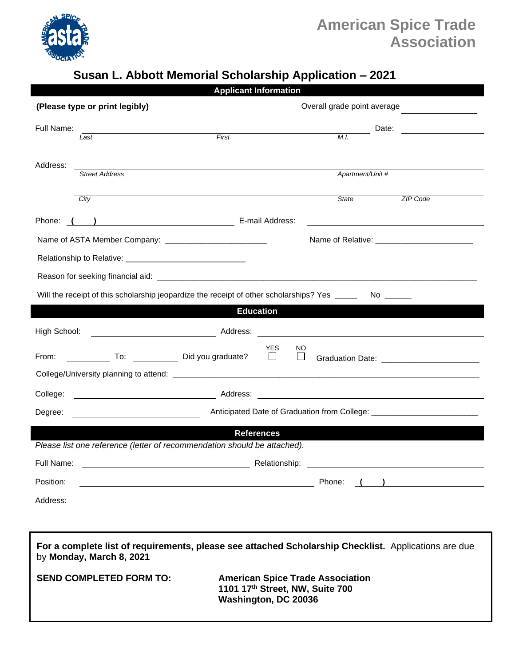

## **American Spice Trade Association**

## **Susan L. Abbott Memorial Scholarship Application – 2021**

| <b>Applicant Information</b>                                                                                                     |                                                                            |
|----------------------------------------------------------------------------------------------------------------------------------|----------------------------------------------------------------------------|
| (Please type or print legibly)                                                                                                   | Overall grade point average                                                |
| Full Name:                                                                                                                       | Date:                                                                      |
| First<br>Last                                                                                                                    | M.I.                                                                       |
|                                                                                                                                  |                                                                            |
| Address:<br><b>Street Address</b>                                                                                                | Apartment/Unit #                                                           |
|                                                                                                                                  |                                                                            |
| City                                                                                                                             | State<br>ZIP Code                                                          |
|                                                                                                                                  |                                                                            |
|                                                                                                                                  |                                                                            |
|                                                                                                                                  |                                                                            |
|                                                                                                                                  |                                                                            |
| Will the receipt of this scholarship jeopardize the receipt of other scholarships? Yes _____<br>No                               |                                                                            |
| <b>Education</b>                                                                                                                 |                                                                            |
|                                                                                                                                  |                                                                            |
| High School:                                                                                                                     |                                                                            |
| Did you graduate? □<br>From:                                                                                                     | <b>YES</b><br>NO<br>$\Box$<br>Graduation Date: _________________________   |
|                                                                                                                                  |                                                                            |
| College:                                                                                                                         |                                                                            |
| Degree:                                                                                                                          |                                                                            |
| <b>References</b>                                                                                                                |                                                                            |
| Please list one reference (letter of recommendation should be attached).                                                         |                                                                            |
| Full Name:                                                                                                                       | Relationship:<br><u> 1980 - John Stein, Amerikaansk politiker († 1908)</u> |
| Position:<br><u> 1989 - Johann Barn, fransk politik fotograf (d. 1989)</u>                                                       | Phone:                                                                     |
| Address:                                                                                                                         |                                                                            |
|                                                                                                                                  |                                                                            |
|                                                                                                                                  |                                                                            |
| For a complete list of requirements, please see attached Scholarship Checklist. Applications are due<br>by Monday, March 8, 2021 |                                                                            |

**SEND COMPLETED FORM TO: American Spice Trade Association 1101 17th Street, NW, Suite 700 Washington, DC 20036**